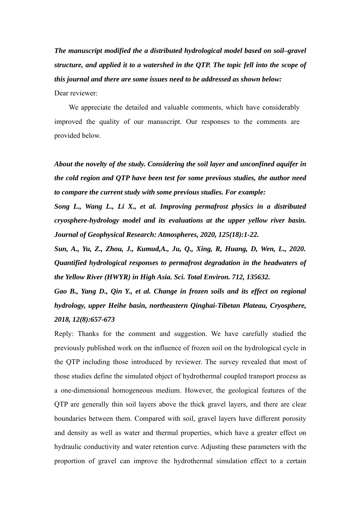*The manuscript modified the a distributed hydrological model based on soil–gravel structure, and applied it to a watershed in the QTP. The topic fell into the scope of this journal and there are some issues need to be addressed as shown below:*

Dear reviewer:

We appreciate the detailed and valuable comments, which have considerably improved the quality of our manuscript. Our responses to the comments are provided below.

*About the novelty of the study. Considering the soil layer and unconfined aquifer in the cold region and QTP have been test for some previous studies, the author need to compare the current study with some previous studies. For example:*

*Song L., Wang L., Li X., et al. Improving permafrost physics in a distributed cryosphere-hydrology model and its evaluations at the upper yellow river basin. Journal of Geophysical Research: Atmospheres, 2020, 125(18):1-22.*

*Sun, A., Yu, Z., Zhou, J., Kumud,A., Ju, Q., Xing, R, Huang, D, Wen, L., 2020. Quantified hydrological responses to permafrost degradation in the headwaters of the Yellow River (HWYR) in High Asia. Sci. Total Environ. 712, 135632.*

*Gao B., Yang D., Qin Y., et al. Change in frozen soils and its effect on regional hydrology, upper Heihe basin, northeastern Qinghai-Tibetan Plateau, Cryosphere, 2018, 12(8):657-673*

Reply: Thanks for the comment and suggestion. We have carefully studied the previously published work on the influence of frozen soil on the hydrological cycle in the QTP including those introduced by reviewer. The survey revealed that most of those studies define the simulated object of hydrothermal coupled transport process as a one-dimensional homogeneous medium. However, the geological features of the QTP are generally thin soil layers above the thick gravel layers, and there are clear boundaries between them. Compared with soil, gravel layers have different porosity and density as well as water and thermal properties, which have a greater effect on hydraulic conductivity and water retention curve. Adjusting these parameters with the proportion of gravel can improve the hydrothermal simulation effect to a certain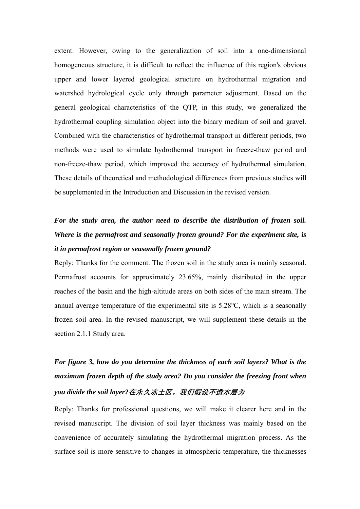extent. However, owing to the generalization of soil into a one-dimensional homogeneous structure, it is difficult to reflect the influence of this region's obvious upper and lower layered geological structure on hydrothermal migration and watershed hydrological cycle only through parameter adjustment. Based on the general geological characteristics of the QTP, in this study, we generalized the hydrothermal coupling simulation object into the binary medium of soil and gravel. Combined with the characteristics of hydrothermal transport in different periods, two methods were used to simulate hydrothermal transport in freeze-thaw period and non-freeze-thaw period, which improved the accuracy of hydrothermal simulation. These details of theoretical and methodological differences from previous studies will be supplemented in the Introduction and Discussion in the revised version.

## *For the study area, the author need to describe the distribution of frozen soil. Where is the permafrost and seasonally frozen ground? For the experiment site, is it in permafrost region or seasonally frozen ground?*

Reply: Thanks for the comment. The frozen soil in the study area is mainly seasonal. Permafrost accounts for approximately 23.65%, mainly distributed in the upper reaches of the basin and the high-altitude areas on both sides of the main stream. The annual average temperature of the experimental site is 5.28℃, which is a seasonally frozen soil area. In the revised manuscript, we will supplement these details in the section 2.1.1 Study area.

# *For figure 3, how do you determine the thickness of each soil layers? What is the maximum frozen depth of the study area? Do you consider the freezing front when you divide the soil layer?***在永久冻土区,我们假设不透水层为**

Reply: Thanks for professional questions, we will make it clearer here and in the revised manuscript. The division of soil layer thickness was mainly based on the convenience of accurately simulating the hydrothermal migration process. As the surface soil is more sensitive to changes in atmospheric temperature, the thicknesses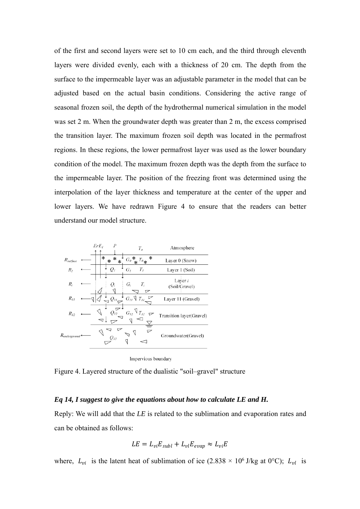of the first and second layers were set to 10 cm each, and the third through eleventh layers were divided evenly, each with a thickness of 20 cm. The depth from the surface to the impermeable layer was an adjustable parameter in the model that can be adjusted based on the actual basin conditions. Considering the active range of seasonal frozen soil, the depth of the hydrothermal numerical simulation in the model was set 2 m. When the groundwater depth was greater than 2 m, the excess comprised the transition layer. The maximum frozen soil depth was located in the permafrost regions. In these regions, the lower permafrost layer was used as the lower boundary condition of the model. The maximum frozen depth was the depth from the surface to the impermeable layer. The position of the freezing front was determined using the interpolation of the layer thickness and temperature at the center of the upper and lower layers. We have redrawn Figure 4 to ensure that the readers can better understand our model structure.



Impervious boundary

Figure 4. Layered structure of the dualistic "soil–gravel" structure

#### *Eq 14, I suggest to give the equations about how to calculate LE and H.*

Reply: We will add that the *LE* is related to the sublimation and evaporation rates and can be obtained as follows:

$$
LE = L_{vi} E_{subl} + L_{vl} E_{evap} \approx L_{vi} E
$$

where,  $L_{vi}$  is the latent heat of sublimation of ice (2.838 × 10<sup>6</sup> J/kg at 0°C);  $L_{vl}$  is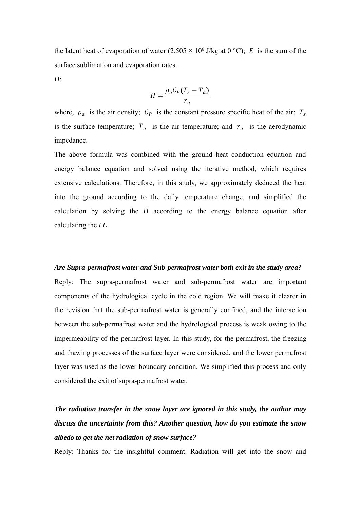the latent heat of evaporation of water  $(2.505 \times 10^6$  J/kg at 0 °C); E is the sum of the surface sublimation and evaporation rates.

*H*:

$$
H = \frac{\rho_a C_P (T_s - T_a)}{r_a}
$$

where,  $\rho_a$  is the air density;  $C_p$  is the constant pressure specific heat of the air;  $T_s$ is the surface temperature;  $T_a$  is the air temperature; and  $r_a$  is the aerodynamic impedance.

The above formula was combined with the ground heat conduction equation and energy balance equation and solved using the iterative method, which requires extensive calculations. Therefore, in this study, we approximately deduced the heat into the ground according to the daily temperature change, and simplified the calculation by solving the *H* according to the energy balance equation after calculating the *LE*.

#### *Are Supra-permafrost water and Sub-permafrost water both exit in the study area?*

Reply: The supra-permafrost water and sub-permafrost water are important components of the hydrological cycle in the cold region. We will make it clearer in the revision that the sub-permafrost water is generally confined, and the interaction between the sub-permafrost water and the hydrological process is weak owing to the impermeability of the permafrost layer. In this study, for the permafrost, the freezing and thawing processes of the surface layer were considered, and the lower permafrost layer was used as the lower boundary condition. We simplified this process and only considered the exit of supra-permafrost water.

## *The radiation transfer in the snow layer are ignored in this study, the author may discuss the uncertainty from this? Another question, how do you estimate the snow albedo to get the net radiation of snow surface?*

Reply: Thanks for the insightful comment. Radiation will get into the snow and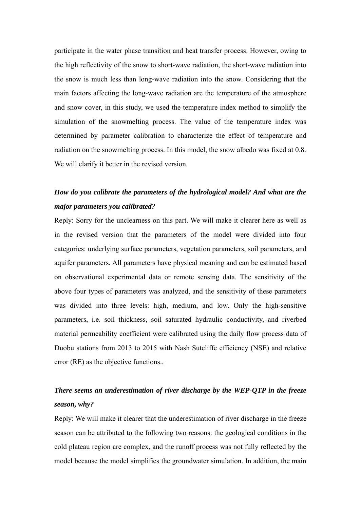participate in the water phase transition and heat transfer process. However, owing to the high reflectivity of the snow to short-wave radiation, the short-wave radiation into the snow is much less than long-wave radiation into the snow. Considering that the main factors affecting the long-wave radiation are the temperature of the atmosphere and snow cover, in this study, we used the temperature index method to simplify the simulation of the snowmelting process. The value of the temperature index was determined by parameter calibration to characterize the effect of temperature and radiation on the snowmelting process. In this model, the snow albedo was fixed at 0.8. We will clarify it better in the revised version.

### *How do you calibrate the parameters of the hydrological model? And what are the major parameters you calibrated?*

Reply: Sorry for the unclearness on this part. We will make it clearer here as well as in the revised version that the parameters of the model were divided into four categories: underlying surface parameters, vegetation parameters, soil parameters, and aquifer parameters. All parameters have physical meaning and can be estimated based on observational experimental data or remote sensing data. The sensitivity of the above four types of parameters was analyzed, and the sensitivity of these parameters was divided into three levels: high, medium, and low. Only the high-sensitive parameters, i.e. soil thickness, soil saturated hydraulic conductivity, and riverbed material permeability coefficient were calibrated using the daily flow process data of Duobu stations from 2013 to 2015 with Nash Sutcliffe efficiency (NSE) and relative error (RE) as the objective functions..

## *There seems an underestimation of river discharge by the WEP-QTP in the freeze season, why?*

Reply: We will make it clearer that the underestimation of river discharge in the freeze season can be attributed to the following two reasons: the geological conditions in the cold plateau region are complex, and the runoff process was not fully reflected by the model because the model simplifies the groundwater simulation. In addition, the main